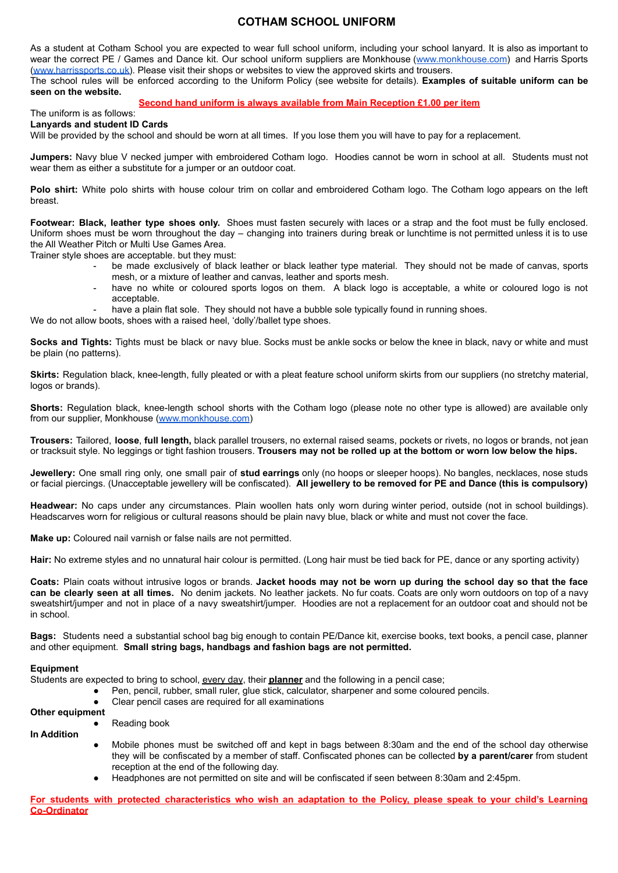#### **COTHAM SCHOOL UNIFORM**

As a student at Cotham School you are expected to wear full school uniform, including your school lanyard. It is also as important to wear the correct PE / Games and Dance kit. Our school uniform suppliers are Monkhouse ([www.monkhouse.com](http://www.monkhouse.com)) and Harris Sports [\(www.harrissports.co.uk\)](http://www.harrissports.co.uk). Please visit their shops or websites to view the approved skirts and trousers.

The school rules will be enforced according to the Uniform Policy (see website for details). **Examples of suitable uniform can be seen on the website.**

#### **Second hand uniform is always available from Main Reception £1.00 per item**

The uniform is as follows: **Lanyards and student ID Cards**

Will be provided by the school and should be worn at all times. If you lose them you will have to pay for a replacement.

**Jumpers:** Navy blue V necked jumper with embroidered Cotham logo. Hoodies cannot be worn in school at all. Students must not wear them as either a substitute for a jumper or an outdoor coat.

**Polo shirt:** White polo shirts with house colour trim on collar and embroidered Cotham logo. The Cotham logo appears on the left breast.

**Footwear: Black, leather type shoes only.** Shoes must fasten securely with laces or a strap and the foot must be fully enclosed. Uniform shoes must be worn throughout the day – changing into trainers during break or lunchtime is not permitted unless it is to use the All Weather Pitch or Multi Use Games Area.

Trainer style shoes are acceptable. but they must:

- be made exclusively of black leather or black leather type material. They should not be made of canvas, sports mesh, or a mixture of leather and canvas, leather and sports mesh.
- have no white or coloured sports logos on them. A black logo is acceptable, a white or coloured logo is not acceptable.

have a plain flat sole. They should not have a bubble sole typically found in running shoes.

We do not allow boots, shoes with a raised heel, 'dolly'/ballet type shoes.

**Socks and Tights:** Tights must be black or navy blue. Socks must be ankle socks or below the knee in black, navy or white and must be plain (no patterns).

**Skirts:** Regulation black, knee-length, fully pleated or with a pleat feature school uniform skirts from our suppliers (no stretchy material, logos or brands).

**Shorts:** Regulation black, knee-length school shorts with the Cotham logo (please note no other type is allowed) are available only from our supplier, Monkhouse [\(www.monkhouse.com\)](http://www.monkhouse.com)

**Trousers:** Tailored, **loose**, **full length,** black parallel trousers, no external raised seams, pockets or rivets, no logos or brands, not jean or tracksuit style. No leggings or tight fashion trousers. **Trousers may not be rolled up at the bottom or worn low below the hips.**

**Jewellery:** One small ring only, one small pair of **stud earrings** only (no hoops or sleeper hoops). No bangles, necklaces, nose studs or facial piercings. (Unacceptable jewellery will be confiscated). **All jewellery to be removed for PE and Dance (this is compulsory)**

**Headwear:** No caps under any circumstances. Plain woollen hats only worn during winter period, outside (not in school buildings). Headscarves worn for religious or cultural reasons should be plain navy blue, black or white and must not cover the face.

**Make up:** Coloured nail varnish or false nails are not permitted.

**Reading book** 

**Hair:** No extreme styles and no unnatural hair colour is permitted. (Long hair must be tied back for PE, dance or any sporting activity)

Coats: Plain coats without intrusive logos or brands. Jacket hoods may not be worn up during the school day so that the face **can be clearly seen at all times.** No denim jackets. No leather jackets. No fur coats. Coats are only worn outdoors on top of a navy sweatshirt/jumper and not in place of a navy sweatshirt/jumper. Hoodies are not a replacement for an outdoor coat and should not be in school.

**Bags:** Students need a substantial school bag big enough to contain PE/Dance kit, exercise books, text books, a pencil case, planner and other equipment. **Small string bags, handbags and fashion bags are not permitted.**

#### **Equipment**

Students are expected to bring to school, every day, their **planner** and the following in a pencil case;

- Pen, pencil, rubber, small ruler, glue stick, calculator, sharpener and some coloured pencils.
- Clear pencil cases are required for all examinations

#### **Other equipment**

### **In Addition**

- Mobile phones must be switched off and kept in bags between 8:30am and the end of the school day otherwise they will be confiscated by a member of staff. Confiscated phones can be collected **by a parent/carer** from student reception at the end of the following day.
- Headphones are not permitted on site and will be confiscated if seen between 8:30am and 2:45pm.

For students with protected characteristics who wish an adaptation to the Policy, please speak to your child's Learning **Co-Ordinator**